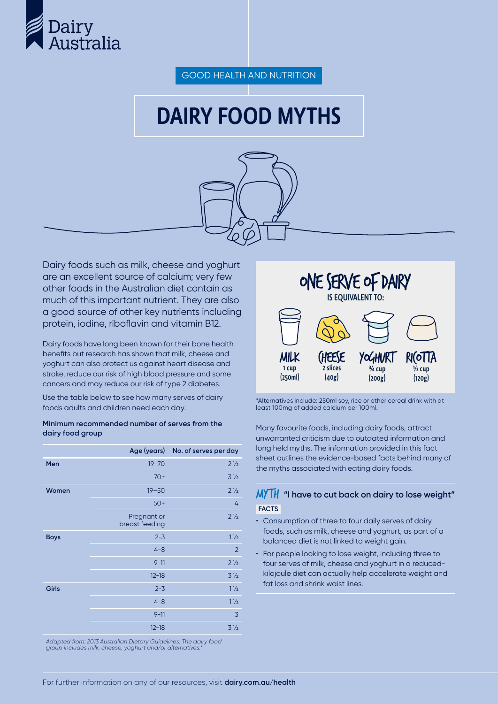

GOOD HEALTH AND NUTRITION

# DAIRY FOOD MYTHS



Dairy foods such as milk, cheese and yoghurt are an excellent source of calcium; very few other foods in the Australian diet contain as much of this important nutrient. They are also a good source of other key nutrients including protein, iodine, riboflavin and vitamin B12.

Dairy foods have long been known for their bone health benefits but research has shown that milk, cheese and yoghurt can also protect us against heart disease and stroke, reduce our risk of high blood pressure and some cancers and may reduce our risk of type 2 diabetes.

Use the table below to see how many serves of dairy foods adults and children need each day.

#### **Minimum recommended number of serves from the dairy food group**

|              | Age (years)                   | No. of serves per day |
|--------------|-------------------------------|-----------------------|
| Men          | $19 - 70$                     | $2\frac{1}{2}$        |
|              | $70+$                         | 3 <sub>2</sub>        |
| Women        | $19 - 50$                     | $2\frac{1}{2}$        |
|              | $50+$                         | 4                     |
|              | Pregnant or<br>breast feeding | $2\frac{1}{2}$        |
| <b>Boys</b>  | $2 - 3$                       | $1\frac{1}{2}$        |
|              | $4 - 8$                       | $\overline{2}$        |
|              | $9 - 11$                      | $2\frac{1}{2}$        |
|              | $12 - 18$                     | 3 <sub>2</sub>        |
| <b>Girls</b> | $2 - 3$                       | $1\frac{1}{2}$        |
|              | $4 - 8$                       | $1\frac{1}{2}$        |
|              | $9 - 11$                      | 3                     |
|              | $12 - 18$                     | 3 <sub>2</sub>        |
|              |                               |                       |

*Adapted from: 2013 Australian Dietary Guidelines. The dairy food group includes milk, cheese, yoghurt and/or alternatives.\**



\*Alternatives include: 250ml soy, rice or other cereal drink with at least 100mg of added calcium per 100ml.

Many favourite foods, including dairy foods, attract unwarranted criticism due to outdated information and long held myths. The information provided in this fact sheet outlines the evidence-based facts behind many of the myths associated with eating dairy foods.

## MYTH **"I have to cut back on dairy to lose weight" FACTS**

- Consumption of three to four daily serves of dairy foods, such as milk, cheese and yoghurt, as part of a balanced diet is not linked to weight gain.
- For people looking to lose weight, including three to four serves of milk, cheese and yoghurt in a reducedkilojoule diet can actually help accelerate weight and fat loss and shrink waist lines.